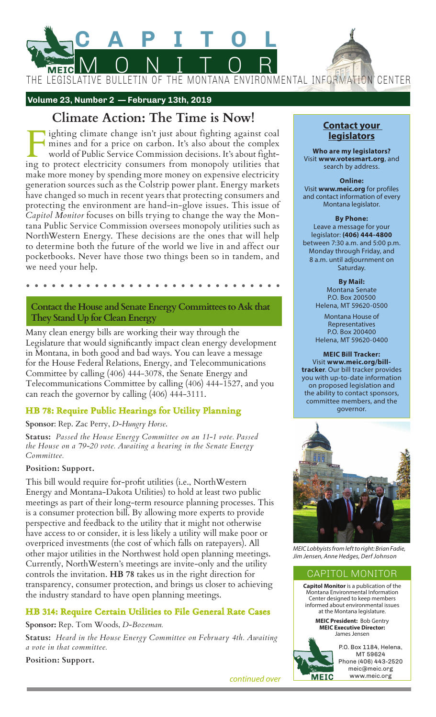

 **Volume 23, Number 2 — February 13th, 2019**

# **Climate Action: The Time is Now!**

Fighting climate change isn't just about fighting against coal<br>mines and for a price on carbon. It's also about the complex<br>world of Public Service Commission decisions. It's about fight-<br>ing to protect electricity consume mines and for a price on carbon. It's also about the complex world of Public Service Commission decisions. It's about fighting to protect electricity consumers from monopoly utilities that make more money by spending more money on expensive electricity generation sources such as the Colstrip power plant. Energy markets have changed so much in recent years that protecting consumers and protecting the environment are hand-in-glove issues. This issue of *Capitol Monitor* focuses on bills trying to change the way the Montana Public Service Commission oversees monopoly utilities such as NorthWestern Energy. These decisions are the ones that will help to determine both the future of the world we live in and affect our pocketbooks. Never have those two things been so in tandem, and we need your help.

**Contact the House and Senate Energy Committees to Ask that They Stand Up for Clean Energy**

Many clean energy bills are working their way through the Legislature that would significantly impact clean energy development in Montana, in both good and bad ways. You can leave a message for the House Federal Relations, Energy, and Telecommunications Committee by calling (406) 444-3078, the Senate Energy and Telecommunications Committee by calling (406) 444-1527, and you can reach the governor by calling (406) 444-3111.

# **HB 78: Require Public Hearings for Utility Planning**

## **Sponsor**: Rep. Zac Perry, *D-Hungry Horse*.

**Status:** *Passed the House Energy Committee on an 11-1 vote. Passed the House on a 79-20 vote. Awaiting a hearing in the Senate Energy Committee.*

## **Position: Support.**

This bill would require for-profit utilities (i.e., NorthWestern Energy and Montana-Dakota Utilities) to hold at least two public meetings as part of their long-term resource planning processes. This is a consumer protection bill. By allowing more experts to provide perspective and feedback to the utility that it might not otherwise have access to or consider, it is less likely a utility will make poor or overpriced investments (the cost of which falls on ratepayers). All other major utilities in the Northwest hold open planning meetings. Currently, NorthWestern's meetings are invite-only and the utility controls the invitation. **HB 78** takes us in the right direction for transparency, consumer protection, and brings us closer to achieving the industry standard to have open planning meetings.

# **HB 314: Require Certain Utilities to File General Rate Cases**

**Sponsor:** Rep. Tom Woods, *D-Bozeman.*

**Status:** *Heard in the House Energy Committee on February 4th. Awaiting a vote in that committee.*

**Position: Support.**

**Contact your legislators**

**Who are my legislators?**  Visit **www.votesmart.org**, and search by address.

**Online:** Visit **www.meic.org** for profiles and contact information of every Montana legislator.

**By Phone:** Leave a message for your legislator: **(406) 444-4800** between 7:30 a.m. and 5:00 p.m. Monday through Friday, and 8 a.m. until adjournment on Saturday.

> **By Mail:** Montana Senate P.O. Box 200500 Helena, MT 59620-0500

> Montana House of Representatives P.O. Box 200400 Helena, MT 59620-0400

on proposed legislation and **MEIC Bill Tracker:** Visit **www.meic.org/billtracker**. Our bill tracker provides you with up-to-date information the ability to contact sponsors, committee members, and the governor.



*MEIC Lobbyists from left to right: Brian Fadie, Jim Jensen, Anne Hedges, Derf Johnson*

## CAPITOL MONITOR

**Capitol Monitor** is a publication of the Montana Environmental Information Center designed to keep members informed about environmental issues at the Montana legislature.

> **MEIC President:** Bob Gentry **MEIC Executive Director:**  James Jensen



P.O. Box 1184, Helena, MT 59624 Phone (406) 443-2520 meic@meic.org www.meic.org

*continued over*